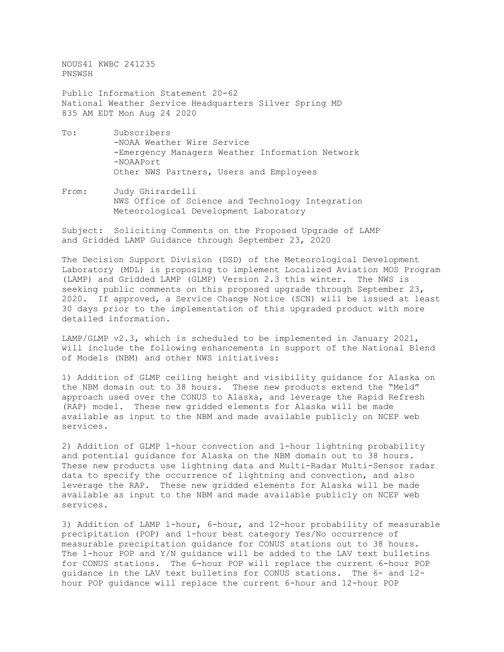NOUS41 KWBC 241235 PNSWSH

Public Information Statement 20-62 National Weather Service Headquarters Silver Spring MD 835 AM EDT Mon Aug 24 2020

- To: Subscribers -NOAA Weather Wire Service -Emergency Managers Weather Information Network -NOAAPort Other NWS Partners, Users and Employees
- From: Judy Ghirardelli NWS Office of Science and Technology Integration Meteorological Development Laboratory

Subject: Soliciting Comments on the Proposed Upgrade of LAMP and Gridded LAMP Guidance through September 23, 2020

The Decision Support Division (DSD) of the Meteorological Development Laboratory (MDL) is proposing to implement Localized Aviation MOS Program (LAMP) and Gridded LAMP (GLMP) Version 2.3 this winter. The NWS is seeking public comments on this proposed upgrade through September 23, 2020. If approved, a Service Change Notice (SCN) will be issued at least 30 days prior to the implementation of this upgraded product with more detailed information.

LAMP/GLMP v2.3, which is scheduled to be implemented in January 2021, will include the following enhancements in support of the National Blend of Models (NBM) and other NWS initiatives:

1) Addition of GLMP ceiling height and visibility guidance for Alaska on the NBM domain out to 38 hours. These new products extend the "Meld" approach used over the CONUS to Alaska, and leverage the Rapid Refresh (RAP) model. These new gridded elements for Alaska will be made available as input to the NBM and made available publicly on NCEP web services.

2) Addition of GLMP 1-hour convection and 1-hour lightning probability and potential guidance for Alaska on the NBM domain out to 38 hours. These new products use lightning data and Multi-Radar Multi-Sensor radar data to specify the occurrence of lightning and convection, and also leverage the RAP. These new gridded elements for Alaska will be made available as input to the NBM and made available publicly on NCEP web services.

3) Addition of LAMP 1-hour, 6-hour, and 12-hour probability of measurable precipitation (POP) and 1-hour best category Yes/No occurrence of measurable precipitation guidance for CONUS stations out to 38 hours. The 1-hour POP and Y/N guidance will be added to the LAV text bulletins for CONUS stations. The 6-hour POP will replace the current 6-hour POP guidance in the LAV text bulletins for CONUS stations. The 6- and 12 hour POP guidance will replace the current 6-hour and 12-hour POP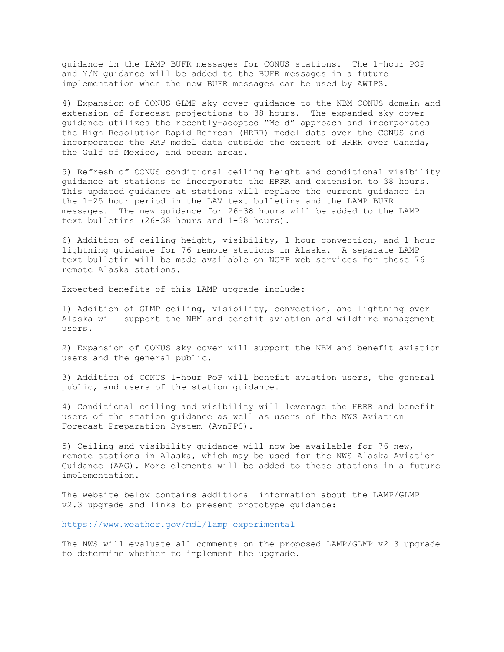guidance in the LAMP BUFR messages for CONUS stations. The 1-hour POP and Y/N guidance will be added to the BUFR messages in a future implementation when the new BUFR messages can be used by AWIPS.

4) Expansion of CONUS GLMP sky cover guidance to the NBM CONUS domain and extension of forecast projections to 38 hours. The expanded sky cover guidance utilizes the recently-adopted "Meld" approach and incorporates the High Resolution Rapid Refresh (HRRR) model data over the CONUS and incorporates the RAP model data outside the extent of HRRR over Canada, the Gulf of Mexico, and ocean areas.

5) Refresh of CONUS conditional ceiling height and conditional visibility guidance at stations to incorporate the HRRR and extension to 38 hours. This updated guidance at stations will replace the current guidance in the 1-25 hour period in the LAV text bulletins and the LAMP BUFR messages. The new guidance for 26-38 hours will be added to the LAMP text bulletins (26-38 hours and 1-38 hours).

6) Addition of ceiling height, visibility, 1-hour convection, and 1-hour lightning guidance for 76 remote stations in Alaska. A separate LAMP text bulletin will be made available on NCEP web services for these 76 remote Alaska stations.

Expected benefits of this LAMP upgrade include:

1) Addition of GLMP ceiling, visibility, convection, and lightning over Alaska will support the NBM and benefit aviation and wildfire management users.

2) Expansion of CONUS sky cover will support the NBM and benefit aviation users and the general public.

3) Addition of CONUS 1-hour PoP will benefit aviation users, the general public, and users of the station guidance.

4) Conditional ceiling and visibility will leverage the HRRR and benefit users of the station guidance as well as users of the NWS Aviation Forecast Preparation System (AvnFPS).

5) Ceiling and visibility guidance will now be available for 76 new, remote stations in Alaska, which may be used for the NWS Alaska Aviation Guidance (AAG). More elements will be added to these stations in a future implementation.

The website below contains additional information about the LAMP/GLMP v2.3 upgrade and links to present prototype guidance:

[https://www.weather.gov/mdl/lamp\\_experimental](https://www.weather.gov/mdl/lamp_experimental)

The NWS will evaluate all comments on the proposed LAMP/GLMP v2.3 upgrade to determine whether to implement the upgrade.